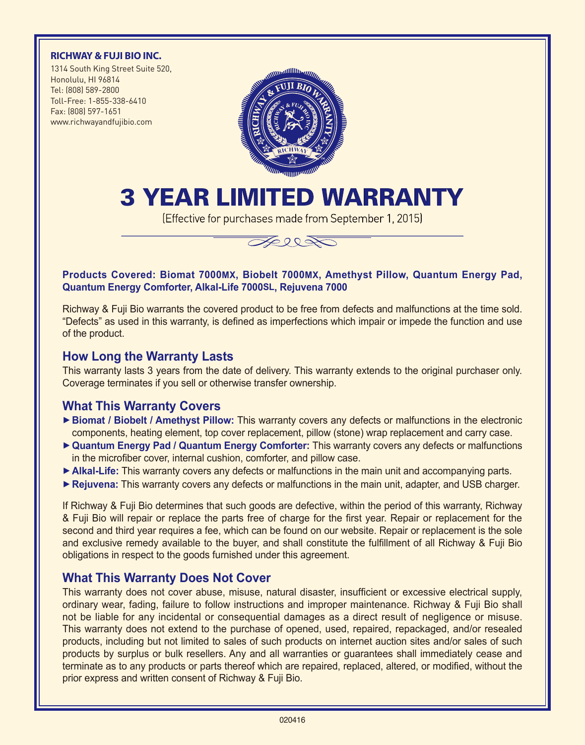#### **RICHWAY & FUJI BIO INC.**

1314 South King Street Suite 520, Honolulu, HI 96814 Tel: (808) 589-2800 Toll-Free: 1-855-338-6410 Fax: (808) 597-1651 www.richwayandfujibio.com



# 3 Year Limited Warranty

(Effective for purchases made from September 1, 2015)



#### **Products Covered: Biomat 7000MX, Biobelt 7000MX, Amethyst Pillow, Quantum Energy Pad, Quantum Energy Comforter, Alkal-Life 7000SL, Rejuvena 7000**

Richway & Fuji Bio warrants the covered product to be free from defects and malfunctions at the time sold. "Defects" as used in this warranty, is defined as imperfections which impair or impede the function and use of the product.

#### **How Long the Warranty Lasts**

This warranty lasts 3 years from the date of delivery. This warranty extends to the original purchaser only. Coverage terminates if you sell or otherwise transfer ownership.

# **What This Warranty Covers**

- ► Biomat / Biobelt / Amethyst Pillow: This warranty covers any defects or malfunctions in the electronic components, heating element, top cover replacement, pillow (stone) wrap replacement and carry case.
- **► Quantum Energy Pad / Quantum Energy Comforter:** This warranty covers any defects or malfunctions in the microfiber cover, internal cushion, comforter, and pillow case.
- ► Alkal-Life: This warranty covers any defects or malfunctions in the main unit and accompanying parts.
- **► Rejuvena:** This warranty covers any defects or malfunctions in the main unit, adapter, and USB charger.

If Richway & Fuji Bio determines that such goods are defective, within the period of this warranty, Richway & Fuji Bio will repair or replace the parts free of charge for the first year. Repair or replacement for the second and third year requires a fee, which can be found on our website. Repair or replacement is the sole and exclusive remedy available to the buyer, and shall constitute the fulfillment of all Richway & Fuji Bio obligations in respect to the goods furnished under this agreement.

# **What This Warranty Does Not Cover**

This warranty does not cover abuse, misuse, natural disaster, insufficient or excessive electrical supply, ordinary wear, fading, failure to follow instructions and improper maintenance. Richway & Fuji Bio shall not be liable for any incidental or consequential damages as a direct result of negligence or misuse. This warranty does not extend to the purchase of opened, used, repaired, repackaged, and/or resealed products, including but not limited to sales of such products on internet auction sites and/or sales of such products by surplus or bulk resellers. Any and all warranties or guarantees shall immediately cease and terminate as to any products or parts thereof which are repaired, replaced, altered, or modified, without the prior express and written consent of Richway & Fuji Bio.